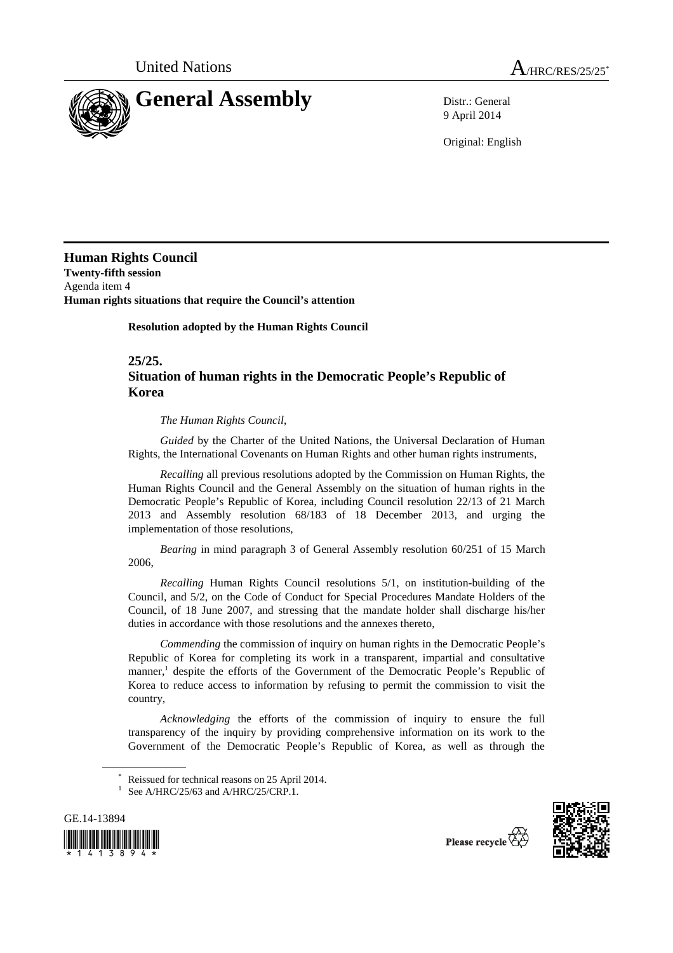

9 April 2014

Original: English

**Human Rights Council Twenty-fifth session**  Agenda item 4 **Human rights situations that require the Council's attention** 

 **Resolution adopted by the Human Rights Council** 

**25/25.** 

## **Situation of human rights in the Democratic People's Republic of Korea**

*The Human Rights Council*,

*Guided* by the Charter of the United Nations, the Universal Declaration of Human Rights, the International Covenants on Human Rights and other human rights instruments,

*Recalling* all previous resolutions adopted by the Commission on Human Rights, the Human Rights Council and the General Assembly on the situation of human rights in the Democratic People's Republic of Korea, including Council resolution 22/13 of 21 March 2013 and Assembly resolution 68/183 of 18 December 2013, and urging the implementation of those resolutions,

*Bearing* in mind paragraph 3 of General Assembly resolution 60/251 of 15 March 2006,

*Recalling* Human Rights Council resolutions 5/1, on institution-building of the Council, and 5/2, on the Code of Conduct for Special Procedures Mandate Holders of the Council, of 18 June 2007, and stressing that the mandate holder shall discharge his/her duties in accordance with those resolutions and the annexes thereto,

*Commending* the commission of inquiry on human rights in the Democratic People's Republic of Korea for completing its work in a transparent, impartial and consultative manner,<sup>1</sup> despite the efforts of the Government of the Democratic People's Republic of Korea to reduce access to information by refusing to permit the commission to visit the country,

*Acknowledging* the efforts of the commission of inquiry to ensure the full transparency of the inquiry by providing comprehensive information on its work to the Government of the Democratic People's Republic of Korea, as well as through the

<sup>&</sup>lt;sup>1</sup> See A/HRC/25/63 and A/HRC/25/CRP.1.





Reissued for technical reasons on 25 April 2014.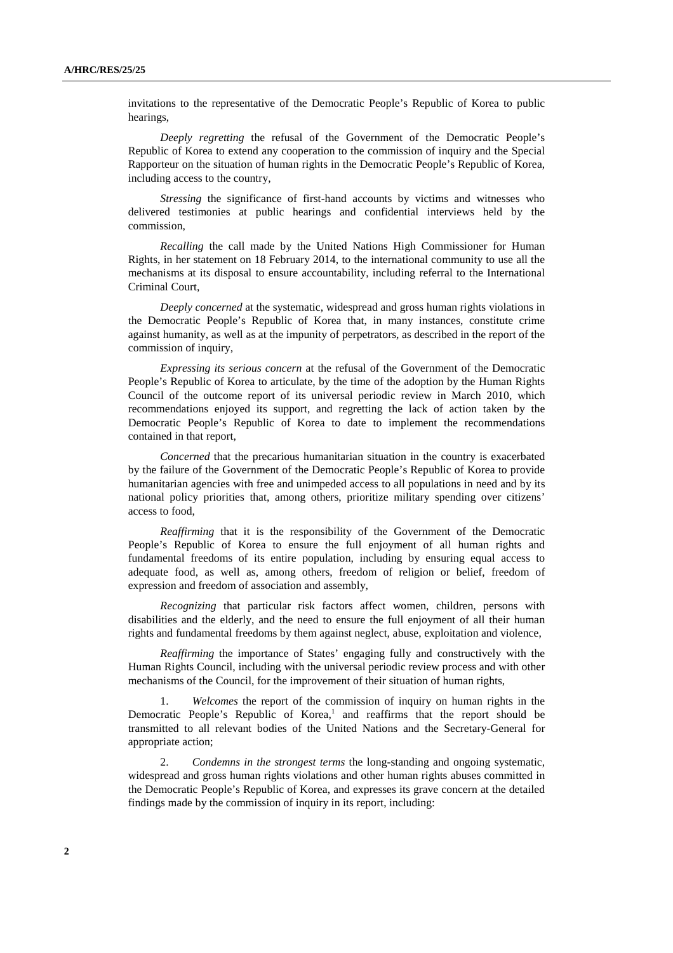invitations to the representative of the Democratic People's Republic of Korea to public hearings,

*Deeply regretting* the refusal of the Government of the Democratic People's Republic of Korea to extend any cooperation to the commission of inquiry and the Special Rapporteur on the situation of human rights in the Democratic People's Republic of Korea, including access to the country,

*Stressing* the significance of first-hand accounts by victims and witnesses who delivered testimonies at public hearings and confidential interviews held by the commission,

*Recalling* the call made by the United Nations High Commissioner for Human Rights, in her statement on 18 February 2014, to the international community to use all the mechanisms at its disposal to ensure accountability, including referral to the International Criminal Court,

*Deeply concerned* at the systematic, widespread and gross human rights violations in the Democratic People's Republic of Korea that, in many instances, constitute crime against humanity, as well as at the impunity of perpetrators, as described in the report of the commission of inquiry,

*Expressing its serious concern* at the refusal of the Government of the Democratic People's Republic of Korea to articulate, by the time of the adoption by the Human Rights Council of the outcome report of its universal periodic review in March 2010, which recommendations enjoyed its support, and regretting the lack of action taken by the Democratic People's Republic of Korea to date to implement the recommendations contained in that report,

*Concerned* that the precarious humanitarian situation in the country is exacerbated by the failure of the Government of the Democratic People's Republic of Korea to provide humanitarian agencies with free and unimpeded access to all populations in need and by its national policy priorities that, among others, prioritize military spending over citizens' access to food,

*Reaffirming* that it is the responsibility of the Government of the Democratic People's Republic of Korea to ensure the full enjoyment of all human rights and fundamental freedoms of its entire population, including by ensuring equal access to adequate food, as well as, among others, freedom of religion or belief, freedom of expression and freedom of association and assembly,

*Recognizing* that particular risk factors affect women, children, persons with disabilities and the elderly, and the need to ensure the full enjoyment of all their human rights and fundamental freedoms by them against neglect, abuse, exploitation and violence,

*Reaffirming* the importance of States' engaging fully and constructively with the Human Rights Council, including with the universal periodic review process and with other mechanisms of the Council, for the improvement of their situation of human rights,

1. *Welcomes* the report of the commission of inquiry on human rights in the Democratic People's Republic of Korea,<sup>1</sup> and reaffirms that the report should be transmitted to all relevant bodies of the United Nations and the Secretary-General for appropriate action;

2. *Condemns in the strongest terms* the long-standing and ongoing systematic, widespread and gross human rights violations and other human rights abuses committed in the Democratic People's Republic of Korea, and expresses its grave concern at the detailed findings made by the commission of inquiry in its report, including: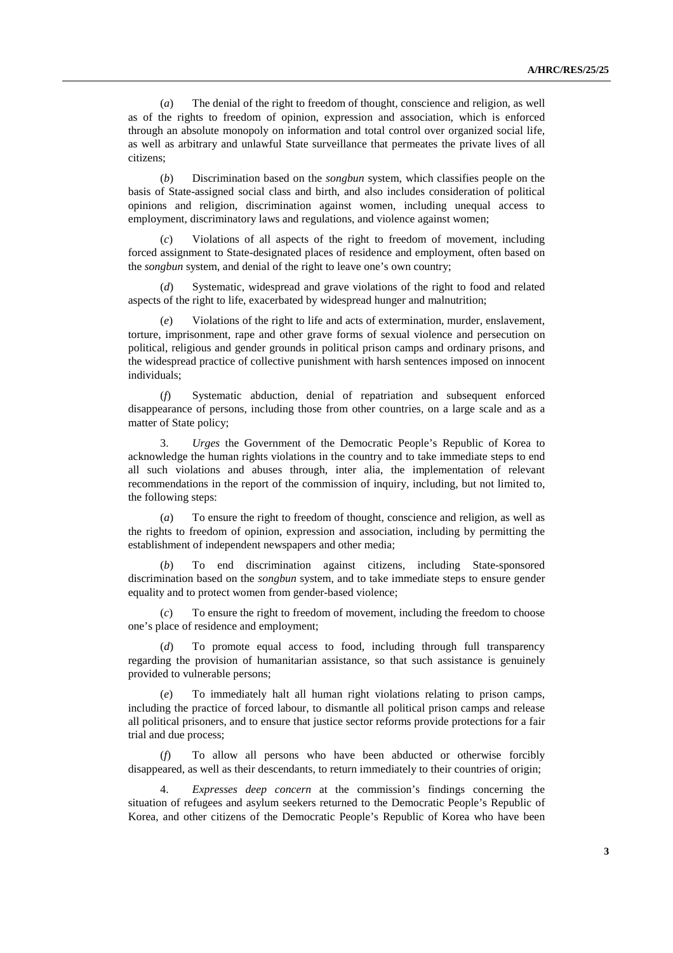(*a*) The denial of the right to freedom of thought, conscience and religion, as well as of the rights to freedom of opinion, expression and association, which is enforced through an absolute monopoly on information and total control over organized social life, as well as arbitrary and unlawful State surveillance that permeates the private lives of all citizens;

(*b*) Discrimination based on the *songbun* system, which classifies people on the basis of State-assigned social class and birth, and also includes consideration of political opinions and religion, discrimination against women, including unequal access to employment, discriminatory laws and regulations, and violence against women;

(*c*) Violations of all aspects of the right to freedom of movement, including forced assignment to State-designated places of residence and employment, often based on the *songbun* system, and denial of the right to leave one's own country;

(*d*) Systematic, widespread and grave violations of the right to food and related aspects of the right to life, exacerbated by widespread hunger and malnutrition;

Violations of the right to life and acts of extermination, murder, enslavement, torture, imprisonment, rape and other grave forms of sexual violence and persecution on political, religious and gender grounds in political prison camps and ordinary prisons, and the widespread practice of collective punishment with harsh sentences imposed on innocent individuals;

(*f*) Systematic abduction, denial of repatriation and subsequent enforced disappearance of persons, including those from other countries, on a large scale and as a matter of State policy;

3. *Urges* the Government of the Democratic People's Republic of Korea to acknowledge the human rights violations in the country and to take immediate steps to end all such violations and abuses through, inter alia, the implementation of relevant recommendations in the report of the commission of inquiry, including, but not limited to, the following steps:

(*a*) To ensure the right to freedom of thought, conscience and religion, as well as the rights to freedom of opinion, expression and association, including by permitting the establishment of independent newspapers and other media;

(*b*) To end discrimination against citizens, including State-sponsored discrimination based on the *songbun* system, and to take immediate steps to ensure gender equality and to protect women from gender-based violence;

(*c*) To ensure the right to freedom of movement, including the freedom to choose one's place of residence and employment;

(*d*) To promote equal access to food, including through full transparency regarding the provision of humanitarian assistance, so that such assistance is genuinely provided to vulnerable persons;

(*e*) To immediately halt all human right violations relating to prison camps, including the practice of forced labour, to dismantle all political prison camps and release all political prisoners, and to ensure that justice sector reforms provide protections for a fair trial and due process;

(*f*) To allow all persons who have been abducted or otherwise forcibly disappeared, as well as their descendants, to return immediately to their countries of origin;

4. *Expresses deep concern* at the commission's findings concerning the situation of refugees and asylum seekers returned to the Democratic People's Republic of Korea, and other citizens of the Democratic People's Republic of Korea who have been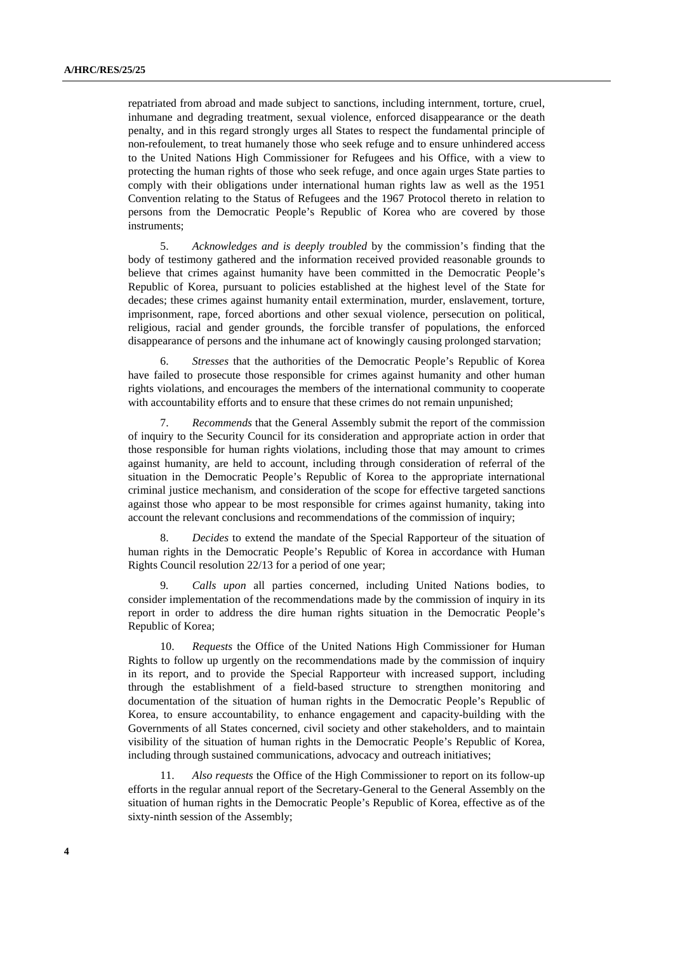repatriated from abroad and made subject to sanctions, including internment, torture, cruel, inhumane and degrading treatment, sexual violence, enforced disappearance or the death penalty, and in this regard strongly urges all States to respect the fundamental principle of non-refoulement, to treat humanely those who seek refuge and to ensure unhindered access to the United Nations High Commissioner for Refugees and his Office, with a view to protecting the human rights of those who seek refuge, and once again urges State parties to comply with their obligations under international human rights law as well as the 1951 Convention relating to the Status of Refugees and the 1967 Protocol thereto in relation to persons from the Democratic People's Republic of Korea who are covered by those instruments;

5. *Acknowledges and is deeply troubled* by the commission's finding that the body of testimony gathered and the information received provided reasonable grounds to believe that crimes against humanity have been committed in the Democratic People's Republic of Korea, pursuant to policies established at the highest level of the State for decades; these crimes against humanity entail extermination, murder, enslavement, torture, imprisonment, rape, forced abortions and other sexual violence, persecution on political, religious, racial and gender grounds, the forcible transfer of populations, the enforced disappearance of persons and the inhumane act of knowingly causing prolonged starvation;

6. *Stresses* that the authorities of the Democratic People's Republic of Korea have failed to prosecute those responsible for crimes against humanity and other human rights violations, and encourages the members of the international community to cooperate with accountability efforts and to ensure that these crimes do not remain unpunished;

7. *Recommends* that the General Assembly submit the report of the commission of inquiry to the Security Council for its consideration and appropriate action in order that those responsible for human rights violations, including those that may amount to crimes against humanity, are held to account, including through consideration of referral of the situation in the Democratic People's Republic of Korea to the appropriate international criminal justice mechanism, and consideration of the scope for effective targeted sanctions against those who appear to be most responsible for crimes against humanity, taking into account the relevant conclusions and recommendations of the commission of inquiry;

8. *Decides* to extend the mandate of the Special Rapporteur of the situation of human rights in the Democratic People's Republic of Korea in accordance with Human Rights Council resolution 22/13 for a period of one year;

9*. Calls upon* all parties concerned, including United Nations bodies, to consider implementation of the recommendations made by the commission of inquiry in its report in order to address the dire human rights situation in the Democratic People's Republic of Korea;

10. *Requests* the Office of the United Nations High Commissioner for Human Rights to follow up urgently on the recommendations made by the commission of inquiry in its report, and to provide the Special Rapporteur with increased support, including through the establishment of a field-based structure to strengthen monitoring and documentation of the situation of human rights in the Democratic People's Republic of Korea, to ensure accountability, to enhance engagement and capacity-building with the Governments of all States concerned, civil society and other stakeholders, and to maintain visibility of the situation of human rights in the Democratic People's Republic of Korea, including through sustained communications, advocacy and outreach initiatives;

11. *Also requests* the Office of the High Commissioner to report on its follow-up efforts in the regular annual report of the Secretary-General to the General Assembly on the situation of human rights in the Democratic People's Republic of Korea, effective as of the sixty-ninth session of the Assembly;